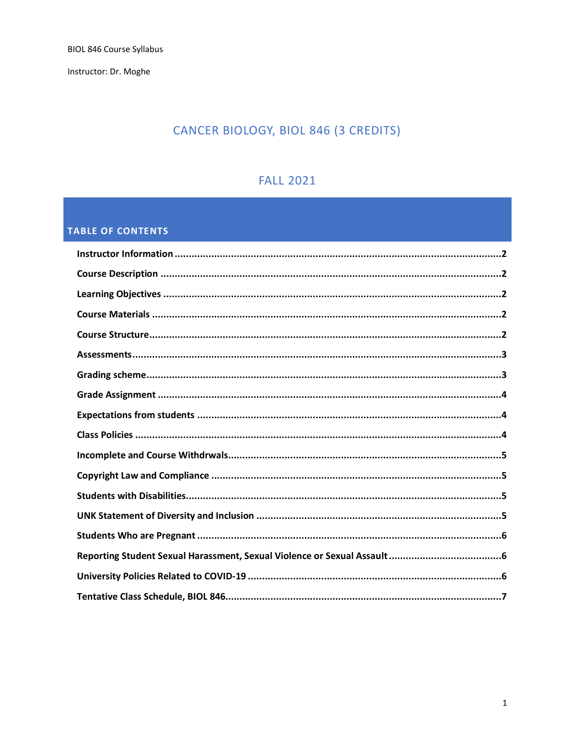Instructor: Dr. Moghe

# CANCER BIOLOGY, BIOL 846 (3 CREDITS)

## **FALL 2021**

## **TABLE OF CONTENTS**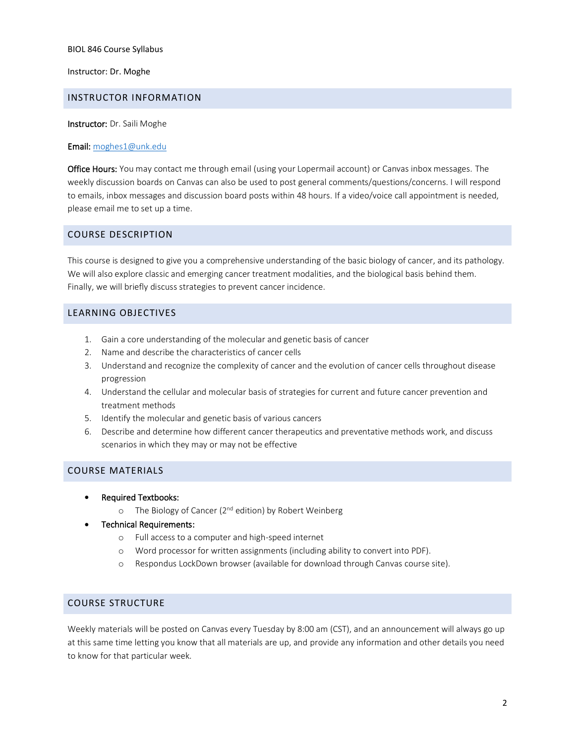Instructor: Dr. Moghe

#### <span id="page-1-0"></span>INSTRUCTOR INFORMATION

Instructor: Dr. Saili Moghe

#### Email: [moghes1@unk.edu](mailto:moghes1@unk.edu)

<span id="page-1-1"></span>Office Hours: You may contact me through email (using your Lopermail account) or Canvas inbox messages. The weekly discussion boards on Canvas can also be used to post general comments/questions/concerns. I will respond to emails, inbox messages and discussion board posts within 48 hours. If a video/voice call appointment is needed, please email me to set up a time.

## COURSE DESCRIPTION

This course is designed to give you a comprehensive understanding of the basic biology of cancer, and its pathology. We will also explore classic and emerging cancer treatment modalities, and the biological basis behind them. Finally, we will briefly discuss strategies to prevent cancer incidence.

## <span id="page-1-2"></span>LEARNING OBJECTIVES

- 1. Gain a core understanding of the molecular and genetic basis of cancer
- 2. Name and describe the characteristics of cancer cells
- 3. Understand and recognize the complexity of cancer and the evolution of cancer cells throughout disease progression
- 4. Understand the cellular and molecular basis of strategies for current and future cancer prevention and treatment methods
- 5. Identify the molecular and genetic basis of various cancers
- 6. Describe and determine how different cancer therapeutics and preventative methods work, and discuss scenarios in which they may or may not be effective

## <span id="page-1-3"></span>COURSE MATERIALS

- Required Textbooks:
	- o The Biology of Cancer (2<sup>nd</sup> edition) by Robert Weinberg
- Technical Requirements:
	- o Full access to a computer and high-speed internet
	- o Word processor for written assignments (including ability to convert into PDF).
	- o Respondus LockDown browser (available for download through Canvas course site).

## <span id="page-1-4"></span>COURSE STRUCTURE

Weekly materials will be posted on Canvas every Tuesday by 8:00 am (CST), and an announcement will always go up at this same time letting you know that all materials are up, and provide any information and other details you need to know for that particular week.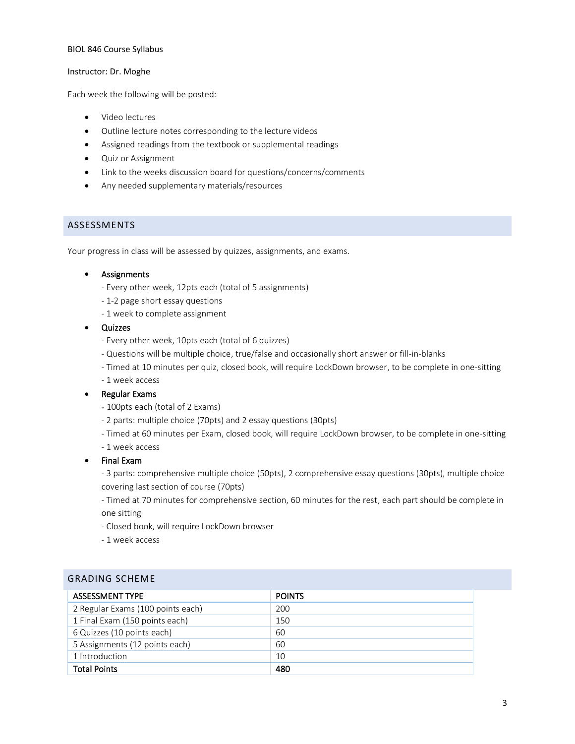#### Instructor: Dr. Moghe

Each week the following will be posted:

- Video lectures
- Outline lecture notes corresponding to the lecture videos
- Assigned readings from the textbook or supplemental readings
- Quiz or Assignment
- Link to the weeks discussion board for questions/concerns/comments
- Any needed supplementary materials/resources

## <span id="page-2-0"></span>ASSESSMENTS

Your progress in class will be assessed by quizzes, assignments, and exams.

#### • Assignments

- Every other week, 12pts each (total of 5 assignments)
- 1-2 page short essay questions
- 1 week to complete assignment
- Quizzes
	- Every other week, 10pts each (total of 6 quizzes)
	- Questions will be multiple choice, true/false and occasionally short answer or fill-in-blanks
	- Timed at 10 minutes per quiz, closed book, will require LockDown browser, to be complete in one-sitting
	- 1 week access

#### • Regular Exams

- 100pts each (total of 2 Exams)
- 2 parts: multiple choice (70pts) and 2 essay questions (30pts)
- Timed at 60 minutes per Exam, closed book, will require LockDown browser, to be complete in one-sitting
- 1 week access
- Final Exam

- 3 parts: comprehensive multiple choice (50pts), 2 comprehensive essay questions (30pts), multiple choice covering last section of course (70pts)

- Timed at 70 minutes for comprehensive section, 60 minutes for the rest, each part should be complete in one sitting

- Closed book, will require LockDown browser
- 1 week access

#### <span id="page-2-1"></span>GRADING SCHEME

| <b>ASSESSMENT TYPE</b>            | <b>POINTS</b> |
|-----------------------------------|---------------|
| 2 Regular Exams (100 points each) | 200           |
| 1 Final Exam (150 points each)    | 150           |
| 6 Quizzes (10 points each)        | 60            |
| 5 Assignments (12 points each)    | 60            |
| 1 Introduction                    | 10            |
| <b>Total Points</b>               | 480           |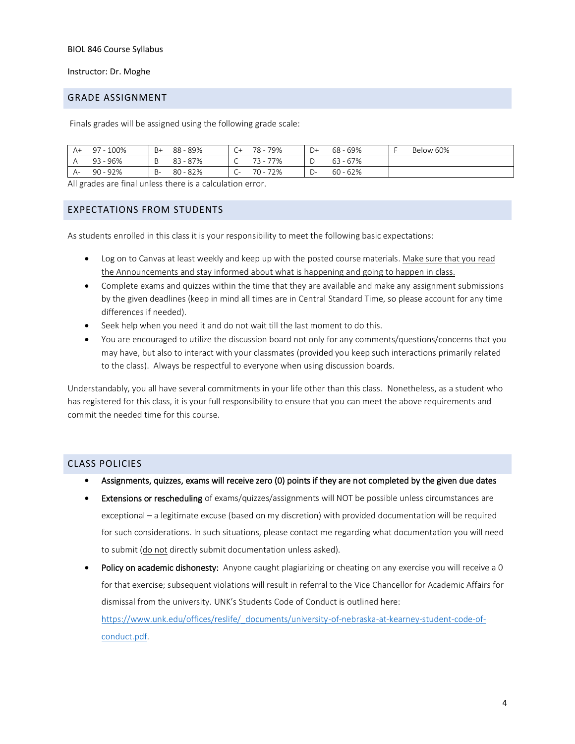#### Instructor: Dr. Moghe

#### <span id="page-3-0"></span>GRADE ASSIGNMENT

Finals grades will be assigned using the following grade scale:

| A+ | $-100%$<br>97 | $B+$ | - 89%<br>88  | ັ        | 79%<br>78 -         | D+                       | $68 - 69%$ | Below 60% |
|----|---------------|------|--------------|----------|---------------------|--------------------------|------------|-----------|
|    | 96%<br>QZ     |      | 87%<br>83    | ◡        | 77%<br>73<br>$\sim$ |                          | $63 - 67%$ |           |
| A- | 92%<br>90     | B-   | $-82%$<br>80 | - -<br>֊ | 72%<br>70 -         | $\overline{\phantom{0}}$ | $60 - 62%$ |           |

All grades are final unless there is a calculation error.

#### <span id="page-3-1"></span>EXPECTATIONS FROM STUDENTS

As students enrolled in this class it is your responsibility to meet the following basic expectations:

- Log on to Canvas at least weekly and keep up with the posted course materials. Make sure that you read the Announcements and stay informed about what is happening and going to happen in class.
- Complete exams and quizzes within the time that they are available and make any assignment submissions by the given deadlines (keep in mind all times are in Central Standard Time, so please account for any time differences if needed).
- Seek help when you need it and do not wait till the last moment to do this.
- You are encouraged to utilize the discussion board not only for any comments/questions/concerns that you may have, but also to interact with your classmates (provided you keep such interactions primarily related to the class). Always be respectful to everyone when using discussion boards.

Understandably, you all have several commitments in your life other than this class. Nonetheless, as a student who has registered for this class, it is your full responsibility to ensure that you can meet the above requirements and commit the needed time for this course.

#### <span id="page-3-2"></span>CLASS POLICIES

- Assignments, quizzes, exams will receive zero (0) points if they are not completed by the given due dates
- Extensions or rescheduling of exams/quizzes/assignments will NOT be possible unless circumstances are exceptional – a legitimate excuse (based on my discretion) with provided documentation will be required for such considerations. In such situations, please contact me regarding what documentation you will need to submit (do not directly submit documentation unless asked).
- Policy on academic dishonesty: Anyone caught plagiarizing or cheating on any exercise you will receive a 0 for that exercise; subsequent violations will result in referral to the Vice Chancellor for Academic Affairs for dismissal from the university. UNK's Students Code of Conduct is outlined here: [https://www.unk.edu/offices/reslife/\\_documents/university-of-nebraska-at-kearney-student-code-of](https://www.unk.edu/offices/reslife/_documents/university-of-nebraska-at-kearney-student-code-of-conduct.pdf)[conduct.pdf.](https://www.unk.edu/offices/reslife/_documents/university-of-nebraska-at-kearney-student-code-of-conduct.pdf)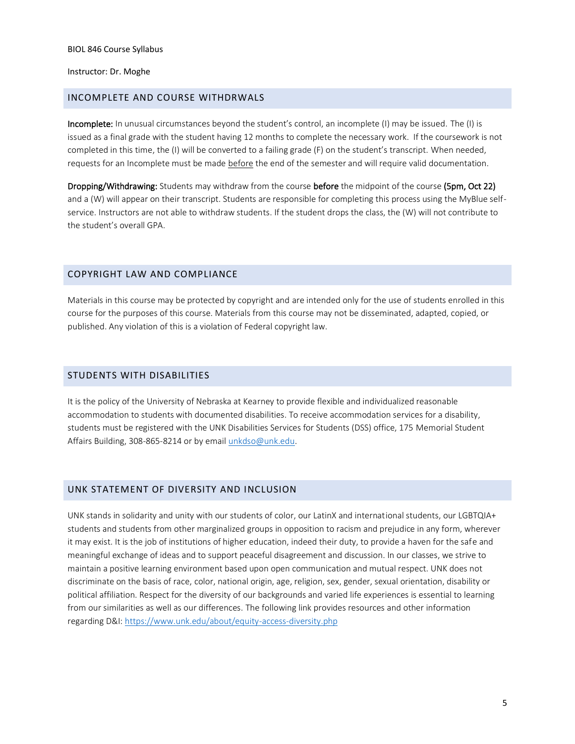Instructor: Dr. Moghe

#### <span id="page-4-0"></span>INCOMPLETE AND COURSE WITHDRWALS

Incomplete: In unusual circumstances beyond the student's control, an incomplete (I) may be issued. The (I) is issued as a final grade with the student having 12 months to complete the necessary work. If the coursework is not completed in this time, the (I) will be converted to a failing grade (F) on the student's transcript. When needed, requests for an Incomplete must be made before the end of the semester and will require valid documentation.

Dropping/Withdrawing: Students may withdraw from the course before the midpoint of the course (5pm, Oct 22) and a (W) will appear on their transcript. Students are responsible for completing this process using the MyBlue selfservice. Instructors are not able to withdraw students. If the student drops the class, the (W) will not contribute to the student's overall GPA.

#### <span id="page-4-1"></span>COPYRIGHT LAW AND COMPLIANCE

Materials in this course may be protected by copyright and are intended only for the use of students enrolled in this course for the purposes of this course. Materials from this course may not be disseminated, adapted, copied, or published. Any violation of this is a violation of Federal copyright law.

#### <span id="page-4-2"></span>STUDENTS WITH DISABILITIES

It is the policy of the University of Nebraska at Kearney to provide flexible and individualized reasonable accommodation to students with documented disabilities. To receive accommodation services for a disability, students must be registered with the UNK Disabilities Services for Students (DSS) office, 175 Memorial Student Affairs Building, 308-865-8214 or by email [unkdso@unk.edu.](mailto:unkdso@unk.edu)

#### <span id="page-4-3"></span>UNK STATEMENT OF DIVERSITY AND INCLUSION

UNK stands in solidarity and unity with our students of color, our LatinX and international students, our LGBTQIA+ students and students from other marginalized groups in opposition to racism and prejudice in any form, wherever it may exist. It is the job of institutions of higher education, indeed their duty, to provide a haven for the safe and meaningful exchange of ideas and to support peaceful disagreement and discussion. In our classes, we strive to maintain a positive learning environment based upon open communication and mutual respect. UNK does not discriminate on the basis of race, color, national origin, age, religion, sex, gender, sexual orientation, disability or political affiliation. Respect for the diversity of our backgrounds and varied life experiences is essential to learning from our similarities as well as our differences. The following link provides resources and other information regarding D&I:<https://www.unk.edu/about/equity-access-diversity.php>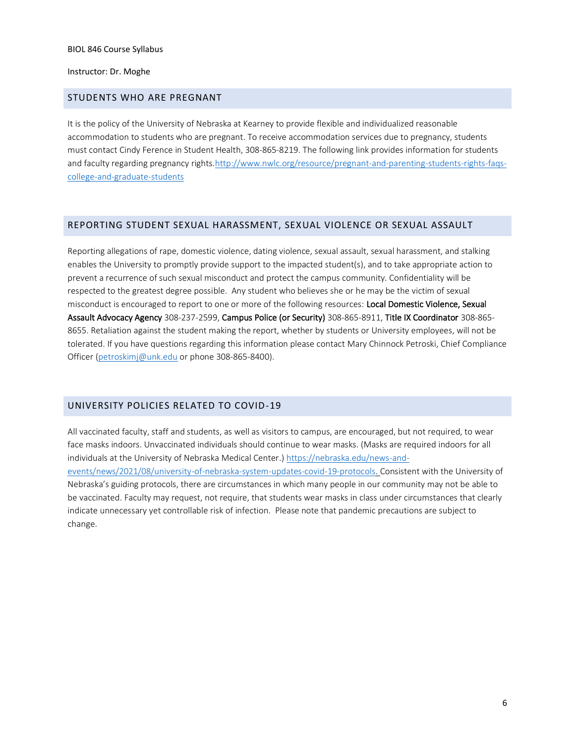#### Instructor: Dr. Moghe

### <span id="page-5-0"></span>STUDENTS WHO ARE PREGNANT

It is the policy of the University of Nebraska at Kearney to provide flexible and individualized reasonable accommodation to students who are pregnant. To receive accommodation services due to pregnancy, students must contact Cindy Ference in Student Health, 308-865-8219. The following link provides information for students and faculty regarding pregnancy rights[.http://www.nwlc.org/resource/pregnant-and-parenting-students-rights-faqs](https://urldefense.proofpoint.com/v2/url?u=http-3A__www.nwlc.org_resource_pregnant-2Dand-2Dparenting-2Dstudents-2Drights-2Dfaqs-2Dcollege-2Dand-2Dgraduate-2Dstudents&d=DwMFAg&c=Cu5g146wZdoqVuKpTNsYHeFX_rg6kWhlkLF8Eft-wwo&r=BJkIhAaMtWY7PlqIhIOyVw&m=RgBL3s2VNHfvD5ReMK2q_PhwYU8dbEt1vxs1BO4WkpQ&s=MmB91XAzaW-E7UPMXPGx9tWJQbTWJYyYzM8gLjhEzQ0&e=)[college-and-graduate-students](https://urldefense.proofpoint.com/v2/url?u=http-3A__www.nwlc.org_resource_pregnant-2Dand-2Dparenting-2Dstudents-2Drights-2Dfaqs-2Dcollege-2Dand-2Dgraduate-2Dstudents&d=DwMFAg&c=Cu5g146wZdoqVuKpTNsYHeFX_rg6kWhlkLF8Eft-wwo&r=BJkIhAaMtWY7PlqIhIOyVw&m=RgBL3s2VNHfvD5ReMK2q_PhwYU8dbEt1vxs1BO4WkpQ&s=MmB91XAzaW-E7UPMXPGx9tWJQbTWJYyYzM8gLjhEzQ0&e=)

#### <span id="page-5-1"></span>REPORTING STUDENT SEXUAL HARASSMENT, SEXUAL VIOLENCE OR SEXUAL ASSAULT

Reporting allegations of rape, domestic violence, dating violence, sexual assault, sexual harassment, and stalking enables the University to promptly provide support to the impacted student(s), and to take appropriate action to prevent a recurrence of such sexual misconduct and protect the campus community. Confidentiality will be respected to the greatest degree possible. Any student who believes she or he may be the victim of sexual misconduct is encouraged to report to one or more of the following resources: Local Domestic Violence, Sexual Assault Advocacy Agency 308-237-2599, Campus Police (or Security) 308-865-8911, Title IX Coordinator 308-865- 8655. Retaliation against the student making the report, whether by students or University employees, will not be tolerated. If you have questions regarding this information please contact Mary Chinnock Petroski, Chief Compliance Officer [\(petroskimj@unk.edu](mailto:petroskimj@unk.edu) or phone 308-865-8400).

## <span id="page-5-2"></span>UNIVERSITY POLICIES RELATED TO COVID-19

All vaccinated faculty, staff and students, as well as visitors to campus, are encouraged, but not required, to wear face masks indoors. Unvaccinated individuals should continue to wear masks. (Masks are required indoors for all individuals at the University of Nebraska Medical Center.) [https://nebraska.edu/news-and](https://nebraska.edu/news-and-events/news/2021/08/university-of-nebraska-system-updates-covid-19-protocols)[events/news/2021/08/university-of-nebraska-system-updates-covid-19-protocols.](https://nebraska.edu/news-and-events/news/2021/08/university-of-nebraska-system-updates-covid-19-protocols) Consistent with the University of Nebraska's guiding protocols, there are circumstances in which many people in our community may not be able to be vaccinated. Faculty may request, not require, that students wear masks in class under circumstances that clearly indicate unnecessary yet controllable risk of infection. Please note that pandemic precautions are subject to change.